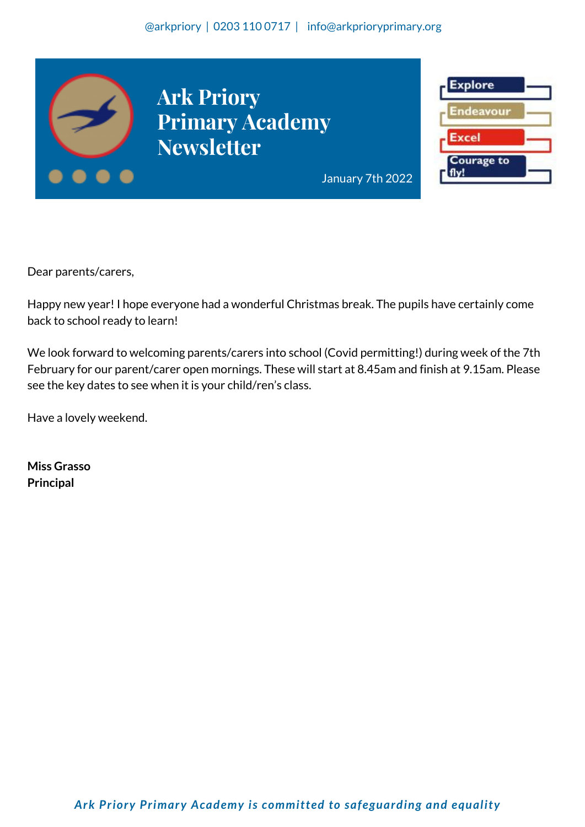#### @arkpriory | 0203 110 0717 | info@arkprioryprimary.org



Dear parents/carers,

Happy new year! I hope everyone had a wonderful Christmas break. The pupils have certainly come back to school ready to learn!

We look forward to welcoming parents/carers into school (Covid permitting!) during week of the 7th February for our parent/carer open mornings. These will start at 8.45am and finish at 9.15am. Please see the key dates to see when it is your child/ren's class.

Have a lovely weekend.

**Miss Grasso Principal**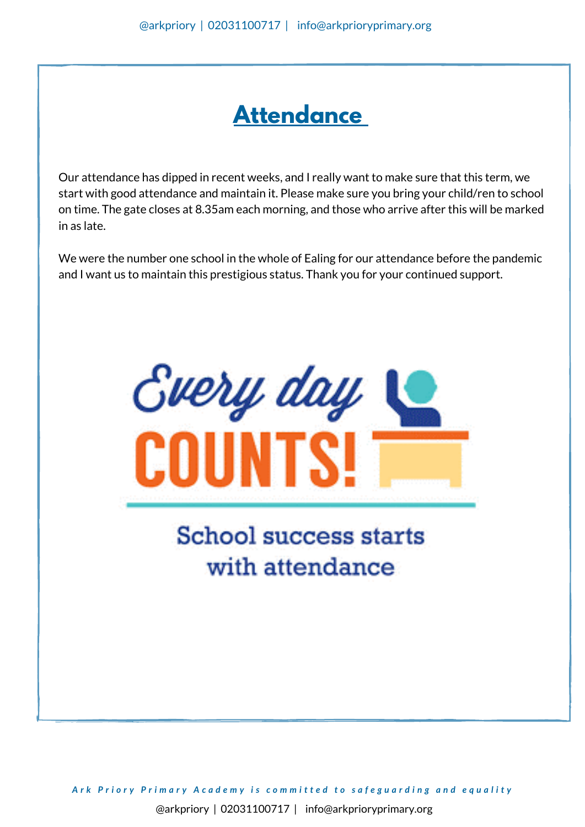## **Attendance**

Our attendance has dipped in recent weeks, and I really want to make sure that this term, we start with good attendance and maintain it. Please make sure you bring your child/ren to school on time. The gate closes at 8.35am each morning, and those who arrive after this will be marked in as late.

We were the number one school in the whole of Ealing for our attendance before the pandemic and I want us to maintain this prestigious status. Thank you for your continued support.



# **School success starts** with attendance

Ark Priory Primary Academy is committed to safeguarding and equality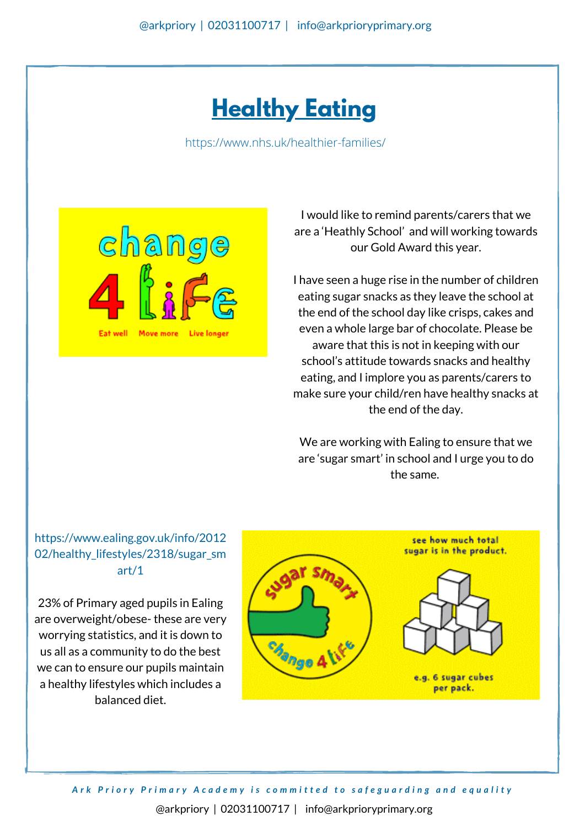## **Healthy Eating**

<https://www.nhs.uk/healthier-families/>



I would like to remind parents/carers that we are a 'Heathly School' and will working towards our Gold Award this year.

I have seen a huge rise in the number of children eating sugar snacks as they leave the school at the end of the school day like crisps, cakes and even a whole large bar of chocolate. Please be aware that this is not in keeping with our school's attitude towards snacks and healthy eating, and I implore you as parents/carers to make sure your child/ren have healthy snacks at the end of the day.

We are working with Ealing to ensure that we are 'sugar smart' in school and I urge you to do the same.

### https://www.ealing.gov.uk/info/2012 02/healthy lifestyles/2318/sugar sm art/1

23% of Primary aged pupils in Ealing are overweight/obese- these are very worrying statistics, and it is down to us all as a community to do the best we can to ensure our pupils maintain a healthy lifestyles which includes a balanced diet.



Ark Priory Primary Academy is committed to safeguarding and equality @arkpriory | 02031100717 | info@arkprioryprimary.org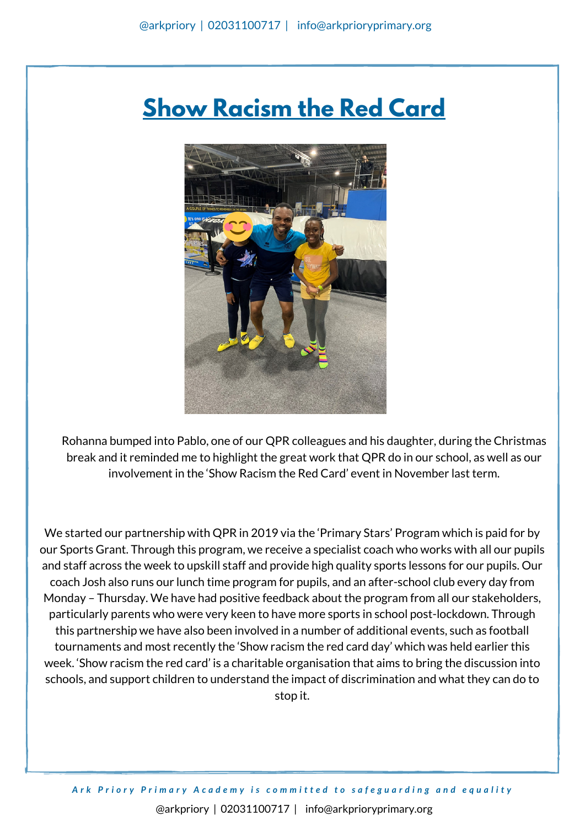## **Show Racism the Red Card**



Rohanna bumped into Pablo, one of our QPR colleagues and his daughter, during the Christmas break and it reminded me to highlight the great work that QPR do in our school, as well as our involvement in the 'Show Racism the Red Card' event in November last term.

We started our partnership with QPR in 2019 via the 'Primary Stars' Program which is paid for by our Sports Grant. Through this program, we receive a specialist coach who works with all our pupils and staff across the week to upskill staff and provide high quality sports lessons for our pupils. Our coach Josh also runs our lunch time program for pupils, and an after-school club every day from Monday – Thursday. We have had positive feedback about the program from all our stakeholders, particularly parents who were very keen to have more sports in school post-lockdown. Through this partnership we have also been involved in a number of additional events, such as football tournaments and most recently the 'Show racism the red card day' which was held earlier this week. 'Show racism the red card' is a charitable organisation that aims to bring the discussion into schools, and support children to understand the impact of discrimination and what they can do to stop it.